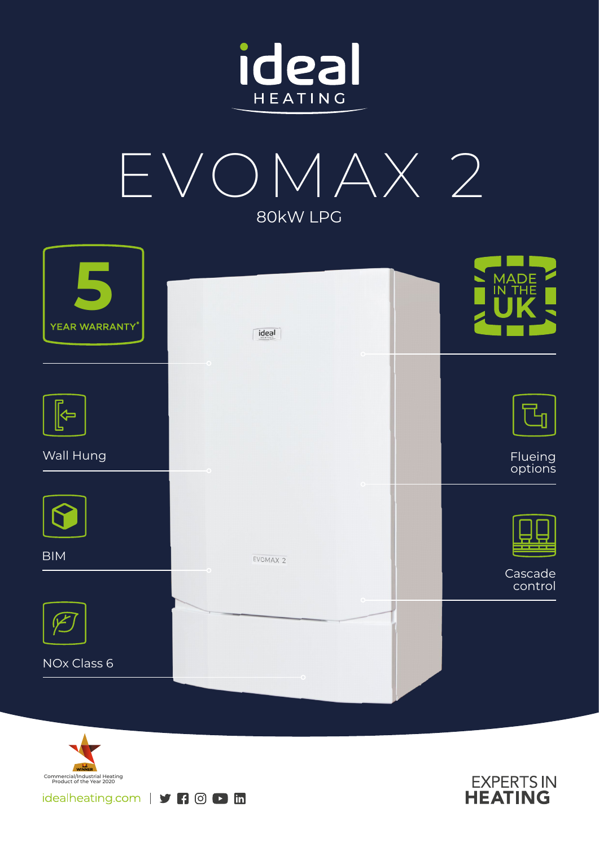



| YEAR WARRANTY* | ideal               | MADE<br>IN THE     |
|----------------|---------------------|--------------------|
|                | $\circ$             |                    |
| $\Rightarrow$  |                     |                    |
| Wall Hung      |                     | Flueing<br>options |
|                |                     |                    |
| <b>BIM</b>     | EVOMAX <sub>2</sub> |                    |
|                |                     | Cascade<br>control |
|                |                     |                    |
| NOx Class 6    |                     |                    |
|                |                     |                    |



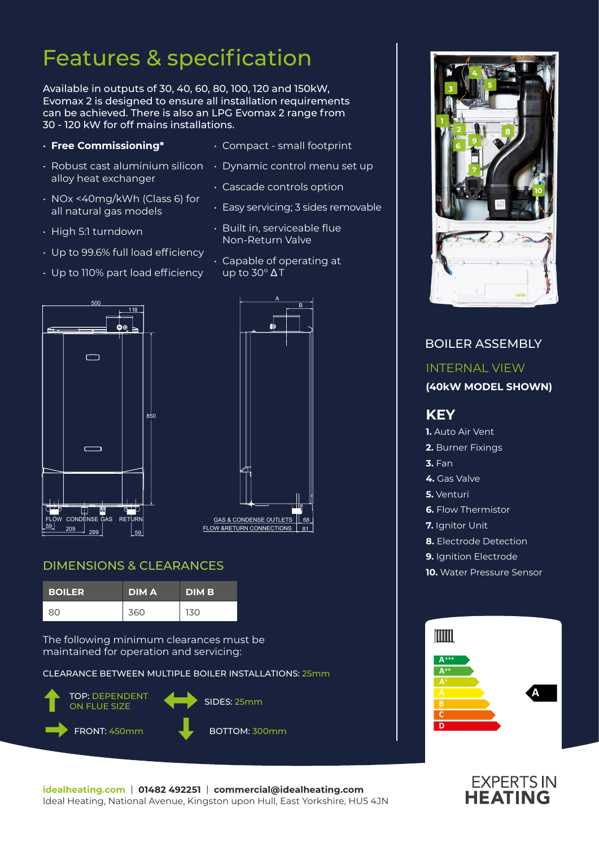## Features & specification

Available in outputs of 30, 40, 60, 80, 100, 120 and 150kW, Evomax 2 is designed to ensure all installation requirements can be achieved. There is also an LPG Evomax 2 range from 30 - 120 kW for off mains installations.

- **Free Commissioning\***
- alloy heat exchanger
- NOx <40mg/kWh (Class 6) for all natural gas models
- High 5:1 turndown
- Up to 99.6% full load efficiency

• Up to 110% part load efficiency

- Compact small footprint
- $\cdot$  Robust cast aluminium silicon  $\;\;\cdot\;$  Dynamic control menu set up
	- Cascade controls option
	- Easy servicing; 3 sides removable
	- Built in, serviceable flue Non-Return Valve
	- Capable of operating at  $\overline{up}$  to 30 $\degree$   $\Delta T$





#### DIMENSIONS & CLEARANCES

| <b>BOILER</b> | <b>DIMA</b> | <b>DIMB</b> |
|---------------|-------------|-------------|
| 80            | 360         | 130         |

The following minimum clearances must be maintained for operation and servicing:

CLEARANCE BETWEEN MULTIPLE BOILER INSTALLATIONS: 25mm









**idealheating.com** | **01482 492251** | **commercial@idealheating.com**  Ideal Heating, National Avenue, Kingston upon Hull, East Yorkshire, HU5 4JN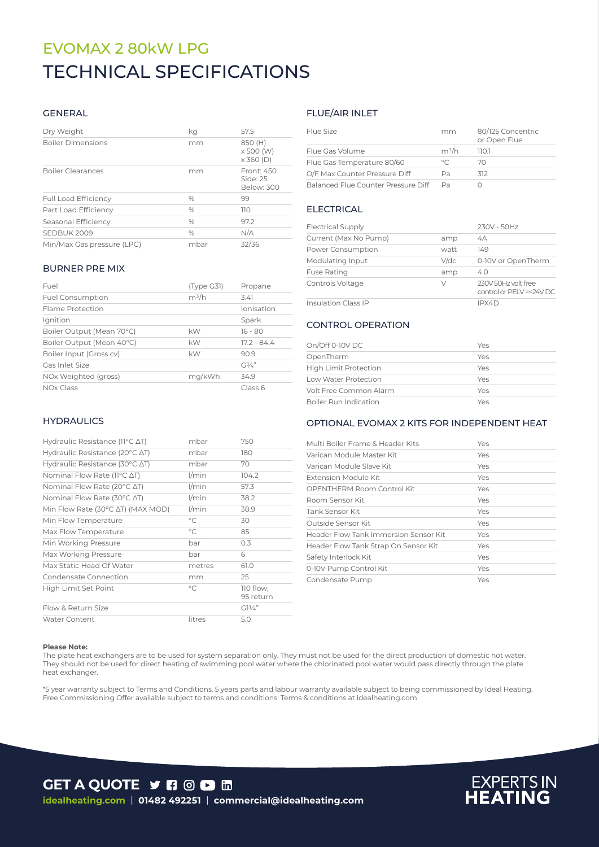## TECHNICAL SPECIFICATIONS EVOMAX 2 80kW LPG

#### GENERAL

| Dry Weight                  | kq            | 57.5                                     |
|-----------------------------|---------------|------------------------------------------|
| <b>Boiler Dimensions</b>    | mm            | 850 (H)<br>x 500 (W)<br>$\times$ 360 (D) |
| <b>Boiler Clearances</b>    | mm            | Front: 450<br>Side: 25<br>Below: 300     |
| <b>Full Load Efficiency</b> | $\frac{0}{0}$ | 99                                       |
| Part Load Efficiency        | $\%$          | 110                                      |
| Seasonal Efficiency         | $\%$          | 97.2                                     |
| SEDBUK 2009                 | $\frac{0}{0}$ | N/A                                      |
| Min/Max Gas pressure (LPG)  | mbar          | 32/36                                    |

#### BURNER PRE MIX

| Fuel                      | (Type G31) | Propane       |
|---------------------------|------------|---------------|
| <b>Fuel Consumption</b>   | $m^3/h$    | 3.41          |
| Flame Protection          |            | Ionisation    |
| Ignition                  |            | Spark         |
| Boiler Output (Mean 70°C) | kW         | 16 - 80       |
| Boiler Output (Mean 40°C) | kW         | $17.2 - 84.4$ |
| Boiler Input (Gross cv)   | kW         | 90.9          |
| Gas Inlet Size            |            | $G^{3/2}$     |
| NOx Weighted (gross)      | mg/kWh     | 34.9          |
| <b>NOx Class</b>          |            | Class 6       |

#### **HYDRAULICS**

| Hydraulic Resistance ( $11^{\circ}$ C $\Delta$ T)   | mbar         | 750                    |
|-----------------------------------------------------|--------------|------------------------|
| Hydraulic Resistance (20°C ∆T)                      | mbar         | 180                    |
| Hydraulic Resistance (30 $\degree$ C $\triangle$ T) | mbar         | 70                     |
| Nominal Flow Rate (11°C ∆T)                         | $1/m$ in     | 104.2                  |
| Nominal Flow Rate (20°C ∆T)                         | l/min        | 57.3                   |
| Nominal Flow Rate (30°C ∆T)                         | l/min        | 38.2                   |
| Min Flow Rate (30°C ∆T) (MAX MOD)                   | $1/m$ in     | 38.9                   |
| Min Flow Temperature                                | $^{\circ}$ C | 30                     |
| Max Flow Temperature                                | $^{\circ}$ C | 85                     |
| Min Working Pressure                                | bar          | 0.3                    |
| Max Working Pressure                                | bar          | 6                      |
| Max Static Head Of Water                            | metres       | 61.0                   |
| Condensate Connection                               | mm           | 25                     |
| High Limit Set Point                                | $^{\circ}$ C | 110 flow,<br>95 return |
| Flow & Return Size                                  |              | $G1\frac{1}{4}$        |
| <b>Water Content</b>                                | litres       | 5.0                    |

#### FLUE/AIR INLET

| Flue Size                           | mm      | 80/125 Concentric<br>or Open Flue |
|-------------------------------------|---------|-----------------------------------|
| Flue Gas Volume                     | $m^3/h$ | 110.1                             |
| Flue Gas Temperature 80/60          | $\circ$ | 70                                |
| O/F Max Counter Pressure Diff       | Pa      | 312                               |
| Balanced Flue Counter Pressure Diff | Pa      |                                   |

#### **ELECTRICAL**

| <b>Electrical Supply</b>   |         | 230V - 50Hz                                    |
|----------------------------|---------|------------------------------------------------|
| Current (Max No Pump)      | amp     | 4A                                             |
| Power Consumption          | watt    | 149                                            |
| Modulating Input           | $V$ /dc | 0-10V or OpenTherm                             |
| <b>Fuse Rating</b>         | amp     | 4.0                                            |
| Controls Voltage           | V       | 230V 50Hz volt free<br>control or PELV=<24V DC |
| <b>Insulation Class IP</b> |         | IPX4D                                          |

#### CONTROL OPERATION

| On/Off 0-10V DC              | Yes |
|------------------------------|-----|
| OpenTherm                    | Yes |
| <b>High Limit Protection</b> | Yes |
| Low Water Protection         | Yes |
| Volt Free Common Alarm       | Yes |
| Boiler Run Indication        | Yes |

#### OPTIONAL EVOMAX 2 KITS FOR INDEPENDENT HEAT

| Multi Boiler Frame & Header Kits      | Yes |
|---------------------------------------|-----|
| Varican Module Master Kit             | Yes |
| Varican Module Slave Kit              | Yes |
| Extension Module Kit                  | Yes |
| OPENTHERM Room Control Kit            | Yes |
| Room Sensor Kit                       | Yes |
| Tank Sensor Kit                       | Yes |
| Outside Sensor Kit                    | Yes |
| Header Flow Tank Immersion Sensor Kit | Yes |
| Header Flow Tank Strap On Sensor Kit  | Yes |
| Safety Interlock Kit                  | Yes |
| 0-10V Pump Control Kit                | Yes |
| Condensate Pump                       | Yes |

#### **Please Note:**

The plate heat exchangers are to be used for system separation only. They must not be used for the direct production of domestic hot water. They should not be used for direct heating of swimming pool water where the chlorinated pool water would pass directly through the plate heat exchanger.

\*5 year warranty subject to Terms and Conditions. 5 years parts and labour warranty available subject to being commissioned by Ideal Heating. Free Commissioning Offer available subject to terms and conditions. Terms & conditions at idealheating.com



# **EXPERTS IN**<br>**HEATING**